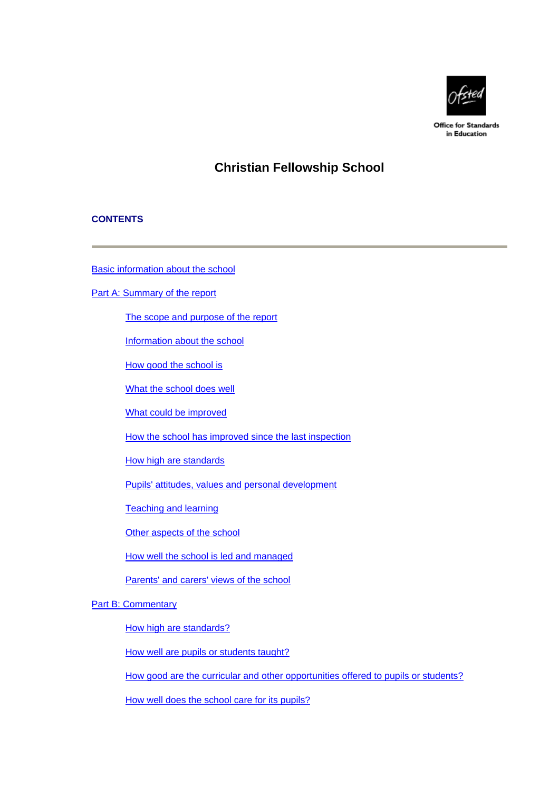

**Office for Standards** in Education

# **Christian Fellowship School**

### **CONTENTS**

[Basic information about the school](#page-1-0)

[Part A: Summary of the report](#page-1-0)

[The scope and purpose of the report](#page-1-0)

[Information about the school](#page-2-0)

[How good the school is](#page-2-0)

[What the school does well](#page-2-0)

[What could be improved](#page-2-0)

[How the school has improved since the last inspection](#page-3-0)

[How high are standards](#page-3-0)

[Pupils' attitudes, values and personal development](#page-3-0)

[Teaching and learning](#page-4-0)

[Other aspects of the school](#page-4-0)

[How well the school is led and managed](#page-4-0)

[Parents' and carers' views of the school](#page-5-0)

### [Part B: Commentary](#page-5-0)

[How high are standards?](#page-6-0)

[How well are pupils or students taught?](#page-7-0)

[How good are the curricular and other opportunities offered to pupils or students?](#page-8-0)

[How well does the school care for its pupils?](#page-9-0)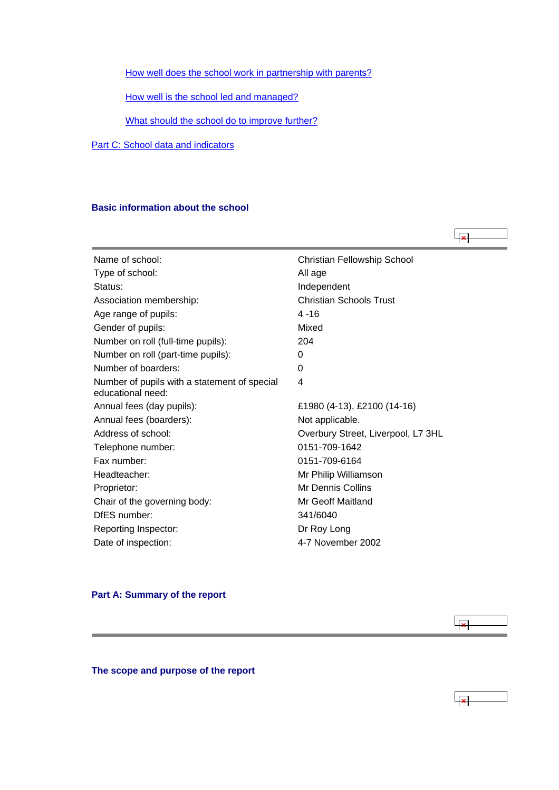<span id="page-1-0"></span>[How well does the school work in partnership with parents?](#page-10-0)

[How well is the school led and managed?](#page-10-0)

[What should the school do to improve further?](#page-11-0)

[Part C: School data and indicators](#page-12-0)

#### **Basic information about the school**

Name of school: Christian Fellowship School Type of school: All age Status: **Independent** Association membership: Christian Schools Trust Age range of pupils: 4 -16 Gender of pupils: Mixed Number on roll (full-time pupils): 204 Number on roll (part-time pupils): 0 Number of boarders: 0 Number of pupils with a statement of special educational need: 4 Annual fees (day pupils): £1980 (4-13), £2100 (14-16) Annual fees (boarders): Not applicable. Address of school: Channel Coverbury Street, Liverpool, L7 3HL Telephone number: 0151-709-1642 Fax number: 0151-709-6164 Headteacher: Mr Philip Williamson Proprietor: Mr Dennis Collins Chair of the governing body: Mr Geoff Maitland DfES number: 341/6040 Reporting Inspector: Dr Roy Long Date of inspection: 4-7 November 2002

 $\overline{1}$ 

 $\overline{2}$ 

#### **Part A: Summary of the report**

**The scope and purpose of the report**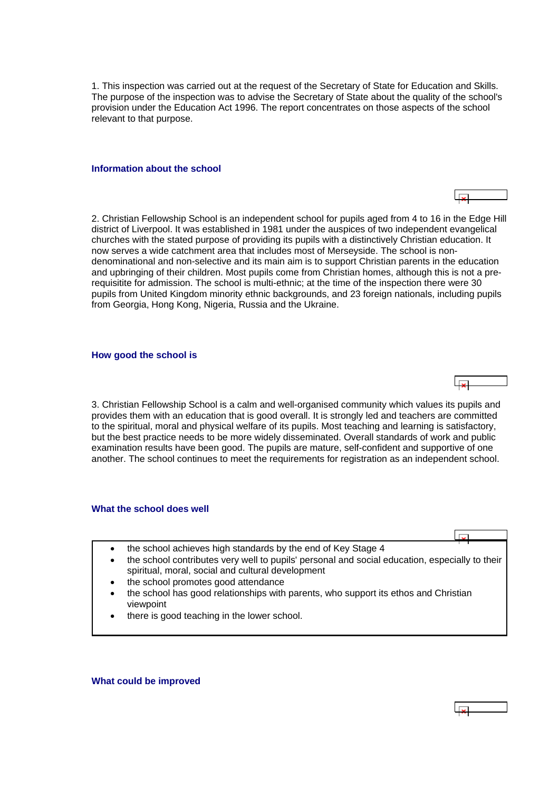<span id="page-2-0"></span>1. This inspection was carried out at the request of the Secretary of State for Education and Skills. The purpose of the inspection was to advise the Secretary of State about the quality of the school's provision under the Education Act 1996. The report concentrates on those aspects of the school relevant to that purpose.

#### **Information about the school**

2. Christian Fellowship School is an independent school for pupils aged from 4 to 16 in the Edge Hill district of Liverpool. It was established in 1981 under the auspices of two independent evangelical churches with the stated purpose of providing its pupils with a distinctively Christian education. It now serves a wide catchment area that includes most of Merseyside. The school is nondenominational and non-selective and its main aim is to support Christian parents in the education and upbringing of their children. Most pupils come from Christian homes, although this is not a prerequisitite for admission. The school is multi-ethnic; at the time of the inspection there were 30 pupils from United Kingdom minority ethnic backgrounds, and 23 foreign nationals, including pupils from Georgia, Hong Kong, Nigeria, Russia and the Ukraine.

#### **How good the school is**

3. Christian Fellowship School is a calm and well-organised community which values its pupils and provides them with an education that is good overall. It is strongly led and teachers are committed to the spiritual, moral and physical welfare of its pupils. Most teaching and learning is satisfactory, but the best practice needs to be more widely disseminated. Overall standards of work and public examination results have been good. The pupils are mature, self-confident and supportive of one another. The school continues to meet the requirements for registration as an independent school.

#### **What the school does well**

- the school achieves high standards by the end of Key Stage 4
- the school contributes very well to pupils' personal and social education, especially to their spiritual, moral, social and cultural development
- the school promotes good attendance
- the school has good relationships with parents, who support its ethos and Christian viewpoint
- there is good teaching in the lower school.

**What could be improved**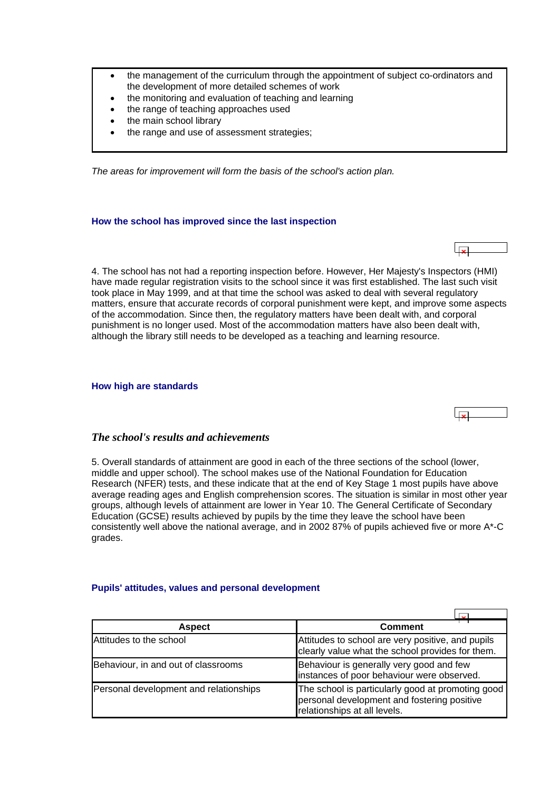- <span id="page-3-0"></span>• the management of the curriculum through the appointment of subject co-ordinators and the development of more detailed schemes of work
- the monitoring and evaluation of teaching and learning
- the range of teaching approaches used
- the main school library
- the range and use of assessment strategies;

*The areas for improvement will form the basis of the school's action plan.*

### **How the school has improved since the last inspection**

4. The school has not had a reporting inspection before. However, Her Majesty's Inspectors (HMI) have made regular registration visits to the school since it was first established. The last such visit took place in May 1999, and at that time the school was asked to deal with several regulatory matters, ensure that accurate records of corporal punishment were kept, and improve some aspects of the accommodation. Since then, the regulatory matters have been dealt with, and corporal punishment is no longer used. Most of the accommodation matters have also been dealt with, although the library still needs to be developed as a teaching and learning resource.

#### **How high are standards**



### *The school's results and achievements*

5. Overall standards of attainment are good in each of the three sections of the school (lower, middle and upper school). The school makes use of the National Foundation for Education Research (NFER) tests, and these indicate that at the end of Key Stage 1 most pupils have above average reading ages and English comprehension scores. The situation is similar in most other year groups, although levels of attainment are lower in Year 10. The General Certificate of Secondary Education (GCSE) results achieved by pupils by the time they leave the school have been consistently well above the national average, and in 2002 87% of pupils achieved five or more A\*-C grades.

### **Pupils' attitudes, values and personal development**

| <b>Aspect</b>                          | Comment                                                                                                                          |
|----------------------------------------|----------------------------------------------------------------------------------------------------------------------------------|
| Attitudes to the school                | Attitudes to school are very positive, and pupils<br>clearly value what the school provides for them.                            |
| Behaviour, in and out of classrooms    | Behaviour is generally very good and few<br>instances of poor behaviour were observed.                                           |
| Personal development and relationships | The school is particularly good at promoting good<br>personal development and fostering positive<br>relationships at all levels. |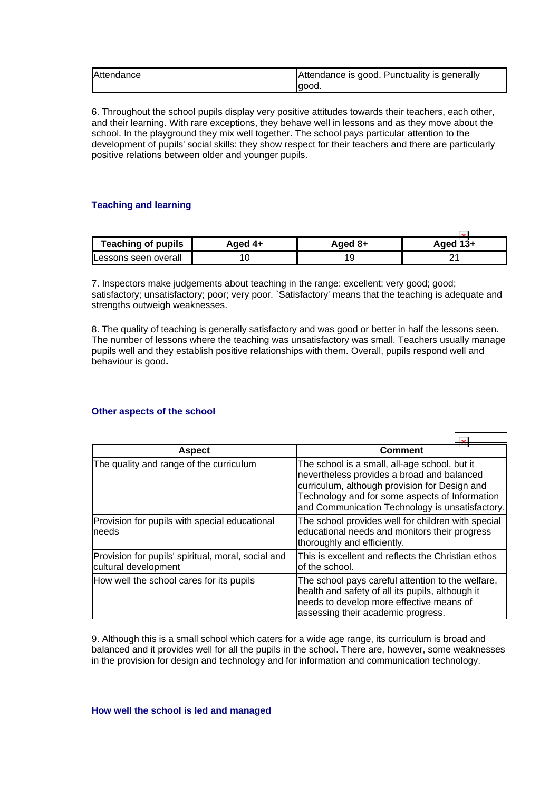<span id="page-4-0"></span>

| Attendance | Attendance is good. Punctuality is generally |  |  |  |
|------------|----------------------------------------------|--|--|--|
|            | lgood.                                       |  |  |  |

6. Throughout the school pupils display very positive attitudes towards their teachers, each other, and their learning. With rare exceptions, they behave well in lessons and as they move about the school. In the playground they mix well together. The school pays particular attention to the development of pupils' social skills: they show respect for their teachers and there are particularly positive relations between older and younger pupils.

### **Teaching and learning**

| <b>Teaching of pupils</b>    | Aged 4+ | Aged 8+ | Aged $13+$ |
|------------------------------|---------|---------|------------|
| <b>ILessons seen overall</b> |         | 19      |            |

7. Inspectors make judgements about teaching in the range: excellent; very good; good; satisfactory; unsatisfactory; poor; very poor. `Satisfactory' means that the teaching is adequate and strengths outweigh weaknesses.

8. The quality of teaching is generally satisfactory and was good or better in half the lessons seen. The number of lessons where the teaching was unsatisfactory was small. Teachers usually manage pupils well and they establish positive relationships with them. Overall, pupils respond well and behaviour is good**.**

### **Other aspects of the school**

| <b>Aspect</b>                                                              | Comment                                                                                                                                                                                                                                           |
|----------------------------------------------------------------------------|---------------------------------------------------------------------------------------------------------------------------------------------------------------------------------------------------------------------------------------------------|
| The quality and range of the curriculum                                    | The school is a small, all-age school, but it<br>nevertheless provides a broad and balanced<br>curriculum, although provision for Design and<br>Technology and for some aspects of Information<br>and Communication Technology is unsatisfactory. |
| Provision for pupils with special educational<br>needs                     | The school provides well for children with special<br>educational needs and monitors their progress<br>thoroughly and efficiently.                                                                                                                |
| Provision for pupils' spiritual, moral, social and<br>cultural development | This is excellent and reflects the Christian ethos<br>of the school.                                                                                                                                                                              |
| How well the school cares for its pupils                                   | The school pays careful attention to the welfare,<br>health and safety of all its pupils, although it<br>needs to develop more effective means of<br>assessing their academic progress.                                                           |

9. Although this is a small school which caters for a wide age range, its curriculum is broad and balanced and it provides well for all the pupils in the school. There are, however, some weaknesses in the provision for design and technology and for information and communication technology.

**How well the school is led and managed**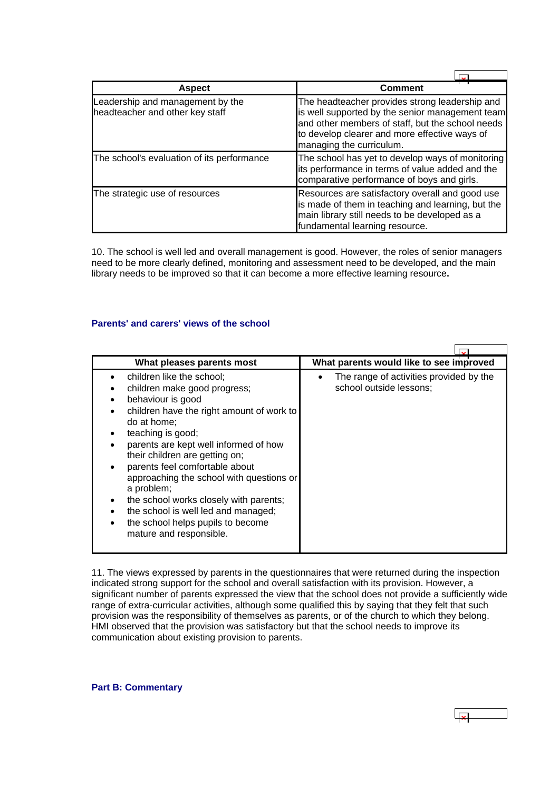<span id="page-5-0"></span>

| <b>Aspect</b>                                                       | <b>Comment</b>                                                                                                                                                                                                                     |
|---------------------------------------------------------------------|------------------------------------------------------------------------------------------------------------------------------------------------------------------------------------------------------------------------------------|
| Leadership and management by the<br>headteacher and other key staff | The headteacher provides strong leadership and<br>is well supported by the senior management team<br>and other members of staff, but the school needs<br>to develop clearer and more effective ways of<br>managing the curriculum. |
| The school's evaluation of its performance                          | The school has yet to develop ways of monitoring<br>its performance in terms of value added and the<br>comparative performance of boys and girls.                                                                                  |
| The strategic use of resources                                      | Resources are satisfactory overall and good use<br>is made of them in teaching and learning, but the<br>main library still needs to be developed as a<br>fundamental learning resource.                                            |

10. The school is well led and overall management is good. However, the roles of senior managers need to be more clearly defined, monitoring and assessment need to be developed, and the main library needs to be improved so that it can become a more effective learning resource**.**

### **Parents' and carers' views of the school**

| What pleases parents most                                                                                                                                                                                                                                                                                                                                                                                                                                                               | What parents would like to see improved                            |
|-----------------------------------------------------------------------------------------------------------------------------------------------------------------------------------------------------------------------------------------------------------------------------------------------------------------------------------------------------------------------------------------------------------------------------------------------------------------------------------------|--------------------------------------------------------------------|
| children like the school:<br>children make good progress;<br>behaviour is good<br>children have the right amount of work to<br>do at home:<br>teaching is good;<br>parents are kept well informed of how<br>their children are getting on;<br>parents feel comfortable about<br>approaching the school with questions or<br>a problem;<br>the school works closely with parents;<br>the school is well led and managed;<br>the school helps pupils to become<br>mature and responsible. | The range of activities provided by the<br>school outside lessons; |

11. The views expressed by parents in the questionnaires that were returned during the inspection indicated strong support for the school and overall satisfaction with its provision. However, a significant number of parents expressed the view that the school does not provide a sufficiently wide range of extra-curricular activities, although some qualified this by saying that they felt that such provision was the responsibility of themselves as parents, or of the church to which they belong. HMI observed that the provision was satisfactory but that the school needs to improve its communication about existing provision to parents.

**Part B: Commentary**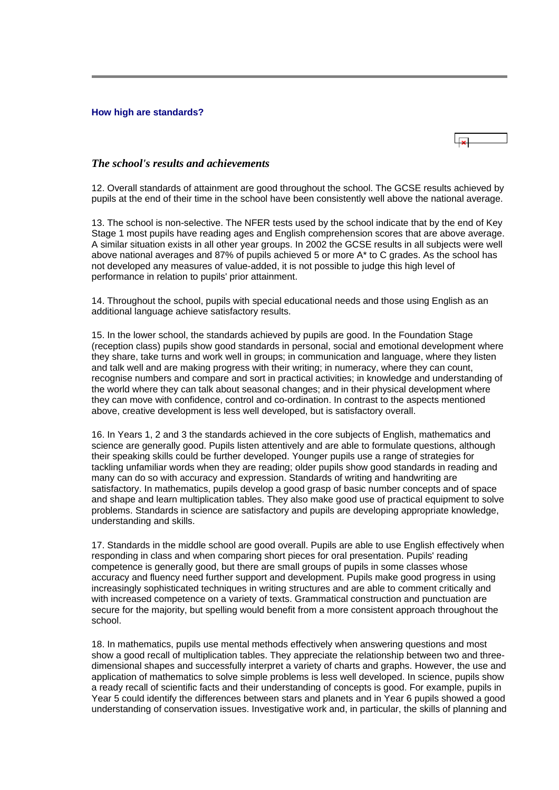#### <span id="page-6-0"></span>**How high are standards?**

### *The school's results and achievements*

12. Overall standards of attainment are good throughout the school. The GCSE results achieved by pupils at the end of their time in the school have been consistently well above the national average.

13. The school is non-selective. The NFER tests used by the school indicate that by the end of Key Stage 1 most pupils have reading ages and English comprehension scores that are above average. A similar situation exists in all other year groups. In 2002 the GCSE results in all subjects were well above national averages and 87% of pupils achieved 5 or more A\* to C grades. As the school has not developed any measures of value-added, it is not possible to judge this high level of performance in relation to pupils' prior attainment.

14. Throughout the school, pupils with special educational needs and those using English as an additional language achieve satisfactory results.

15. In the lower school, the standards achieved by pupils are good. In the Foundation Stage (reception class) pupils show good standards in personal, social and emotional development where they share, take turns and work well in groups; in communication and language, where they listen and talk well and are making progress with their writing; in numeracy, where they can count, recognise numbers and compare and sort in practical activities; in knowledge and understanding of the world where they can talk about seasonal changes; and in their physical development where they can move with confidence, control and co-ordination. In contrast to the aspects mentioned above, creative development is less well developed, but is satisfactory overall.

16. In Years 1, 2 and 3 the standards achieved in the core subjects of English, mathematics and science are generally good. Pupils listen attentively and are able to formulate questions, although their speaking skills could be further developed. Younger pupils use a range of strategies for tackling unfamiliar words when they are reading; older pupils show good standards in reading and many can do so with accuracy and expression. Standards of writing and handwriting are satisfactory. In mathematics, pupils develop a good grasp of basic number concepts and of space and shape and learn multiplication tables. They also make good use of practical equipment to solve problems. Standards in science are satisfactory and pupils are developing appropriate knowledge, understanding and skills.

17. Standards in the middle school are good overall. Pupils are able to use English effectively when responding in class and when comparing short pieces for oral presentation. Pupils' reading competence is generally good, but there are small groups of pupils in some classes whose accuracy and fluency need further support and development. Pupils make good progress in using increasingly sophisticated techniques in writing structures and are able to comment critically and with increased competence on a variety of texts. Grammatical construction and punctuation are secure for the majority, but spelling would benefit from a more consistent approach throughout the school.

18. In mathematics, pupils use mental methods effectively when answering questions and most show a good recall of multiplication tables. They appreciate the relationship between two and threedimensional shapes and successfully interpret a variety of charts and graphs. However, the use and application of mathematics to solve simple problems is less well developed. In science, pupils show a ready recall of scientific facts and their understanding of concepts is good. For example, pupils in Year 5 could identify the differences between stars and planets and in Year 6 pupils showed a good understanding of conservation issues. Investigative work and, in particular, the skills of planning and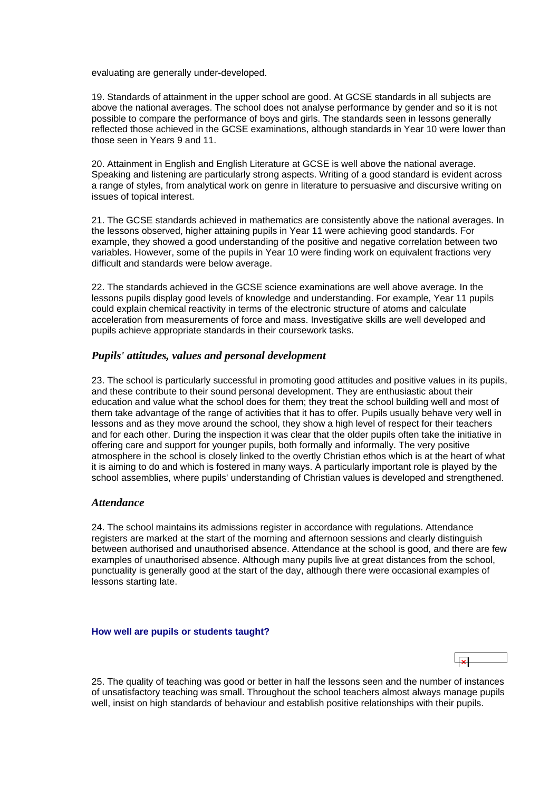<span id="page-7-0"></span>evaluating are generally under-developed.

19. Standards of attainment in the upper school are good. At GCSE standards in all subjects are above the national averages. The school does not analyse performance by gender and so it is not possible to compare the performance of boys and girls. The standards seen in lessons generally reflected those achieved in the GCSE examinations, although standards in Year 10 were lower than those seen in Years 9 and 11.

20. Attainment in English and English Literature at GCSE is well above the national average. Speaking and listening are particularly strong aspects. Writing of a good standard is evident across a range of styles, from analytical work on genre in literature to persuasive and discursive writing on issues of topical interest.

21. The GCSE standards achieved in mathematics are consistently above the national averages. In the lessons observed, higher attaining pupils in Year 11 were achieving good standards. For example, they showed a good understanding of the positive and negative correlation between two variables. However, some of the pupils in Year 10 were finding work on equivalent fractions very difficult and standards were below average.

22. The standards achieved in the GCSE science examinations are well above average. In the lessons pupils display good levels of knowledge and understanding. For example, Year 11 pupils could explain chemical reactivity in terms of the electronic structure of atoms and calculate acceleration from measurements of force and mass. Investigative skills are well developed and pupils achieve appropriate standards in their coursework tasks.

### *Pupils' attitudes, values and personal development*

23. The school is particularly successful in promoting good attitudes and positive values in its pupils, and these contribute to their sound personal development. They are enthusiastic about their education and value what the school does for them; they treat the school building well and most of them take advantage of the range of activities that it has to offer. Pupils usually behave very well in lessons and as they move around the school, they show a high level of respect for their teachers and for each other. During the inspection it was clear that the older pupils often take the initiative in offering care and support for younger pupils, both formally and informally. The very positive atmosphere in the school is closely linked to the overtly Christian ethos which is at the heart of what it is aiming to do and which is fostered in many ways. A particularly important role is played by the school assemblies, where pupils' understanding of Christian values is developed and strengthened.

#### *Attendance*

24. The school maintains its admissions register in accordance with regulations. Attendance registers are marked at the start of the morning and afternoon sessions and clearly distinguish between authorised and unauthorised absence. Attendance at the school is good, and there are few examples of unauthorised absence. Although many pupils live at great distances from the school, punctuality is generally good at the start of the day, although there were occasional examples of lessons starting late.

#### **How well are pupils or students taught?**

25. The quality of teaching was good or better in half the lessons seen and the number of instances of unsatisfactory teaching was small. Throughout the school teachers almost always manage pupils well, insist on high standards of behaviour and establish positive relationships with their pupils.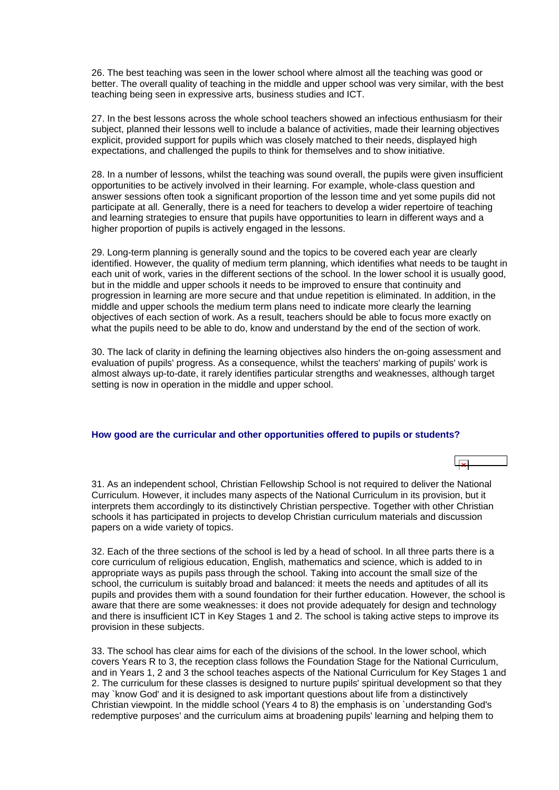<span id="page-8-0"></span>26. The best teaching was seen in the lower school where almost all the teaching was good or better. The overall quality of teaching in the middle and upper school was very similar, with the best teaching being seen in expressive arts, business studies and ICT.

27. In the best lessons across the whole school teachers showed an infectious enthusiasm for their subject, planned their lessons well to include a balance of activities, made their learning objectives explicit, provided support for pupils which was closely matched to their needs, displayed high expectations, and challenged the pupils to think for themselves and to show initiative.

28. In a number of lessons, whilst the teaching was sound overall, the pupils were given insufficient opportunities to be actively involved in their learning. For example, whole-class question and answer sessions often took a significant proportion of the lesson time and yet some pupils did not participate at all. Generally, there is a need for teachers to develop a wider repertoire of teaching and learning strategies to ensure that pupils have opportunities to learn in different ways and a higher proportion of pupils is actively engaged in the lessons.

29. Long-term planning is generally sound and the topics to be covered each year are clearly identified. However, the quality of medium term planning, which identifies what needs to be taught in each unit of work, varies in the different sections of the school. In the lower school it is usually good, but in the middle and upper schools it needs to be improved to ensure that continuity and progression in learning are more secure and that undue repetition is eliminated. In addition, in the middle and upper schools the medium term plans need to indicate more clearly the learning objectives of each section of work. As a result, teachers should be able to focus more exactly on what the pupils need to be able to do, know and understand by the end of the section of work.

30. The lack of clarity in defining the learning objectives also hinders the on-going assessment and evaluation of pupils' progress. As a consequence, whilst the teachers' marking of pupils' work is almost always up-to-date, it rarely identifies particular strengths and weaknesses, although target setting is now in operation in the middle and upper school.

#### **How good are the curricular and other opportunities offered to pupils or students?**



31. As an independent school, Christian Fellowship School is not required to deliver the National Curriculum. However, it includes many aspects of the National Curriculum in its provision, but it interprets them accordingly to its distinctively Christian perspective. Together with other Christian schools it has participated in projects to develop Christian curriculum materials and discussion papers on a wide variety of topics.

32. Each of the three sections of the school is led by a head of school. In all three parts there is a core curriculum of religious education, English, mathematics and science, which is added to in appropriate ways as pupils pass through the school. Taking into account the small size of the school, the curriculum is suitably broad and balanced: it meets the needs and aptitudes of all its pupils and provides them with a sound foundation for their further education. However, the school is aware that there are some weaknesses: it does not provide adequately for design and technology and there is insufficient ICT in Key Stages 1 and 2. The school is taking active steps to improve its provision in these subjects.

33. The school has clear aims for each of the divisions of the school. In the lower school, which covers Years R to 3, the reception class follows the Foundation Stage for the National Curriculum, and in Years 1, 2 and 3 the school teaches aspects of the National Curriculum for Key Stages 1 and 2. The curriculum for these classes is designed to nurture pupils' spiritual development so that they may `know God' and it is designed to ask important questions about life from a distinctively Christian viewpoint. In the middle school (Years 4 to 8) the emphasis is on `understanding God's redemptive purposes' and the curriculum aims at broadening pupils' learning and helping them to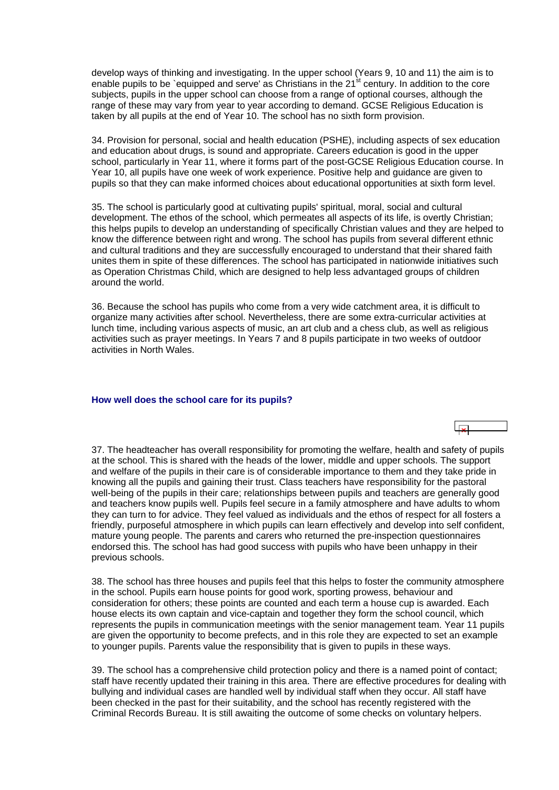<span id="page-9-0"></span>develop ways of thinking and investigating. In the upper school (Years 9, 10 and 11) the aim is to enable pupils to be `equipped and serve' as Christians in the 21<sup>st</sup> century. In addition to the core subjects, pupils in the upper school can choose from a range of optional courses, although the range of these may vary from year to year according to demand. GCSE Religious Education is taken by all pupils at the end of Year 10. The school has no sixth form provision.

34. Provision for personal, social and health education (PSHE), including aspects of sex education and education about drugs, is sound and appropriate. Careers education is good in the upper school, particularly in Year 11, where it forms part of the post-GCSE Religious Education course. In Year 10, all pupils have one week of work experience. Positive help and guidance are given to pupils so that they can make informed choices about educational opportunities at sixth form level.

35. The school is particularly good at cultivating pupils' spiritual, moral, social and cultural development. The ethos of the school, which permeates all aspects of its life, is overtly Christian; this helps pupils to develop an understanding of specifically Christian values and they are helped to know the difference between right and wrong. The school has pupils from several different ethnic and cultural traditions and they are successfully encouraged to understand that their shared faith unites them in spite of these differences. The school has participated in nationwide initiatives such as Operation Christmas Child, which are designed to help less advantaged groups of children around the world.

36. Because the school has pupils who come from a very wide catchment area, it is difficult to organize many activities after school. Nevertheless, there are some extra-curricular activities at lunch time, including various aspects of music, an art club and a chess club, as well as religious activities such as prayer meetings. In Years 7 and 8 pupils participate in two weeks of outdoor activities in North Wales.

#### **How well does the school care for its pupils?**

37. The headteacher has overall responsibility for promoting the welfare, health and safety of pupils at the school. This is shared with the heads of the lower, middle and upper schools. The support and welfare of the pupils in their care is of considerable importance to them and they take pride in knowing all the pupils and gaining their trust. Class teachers have responsibility for the pastoral well-being of the pupils in their care; relationships between pupils and teachers are generally good and teachers know pupils well. Pupils feel secure in a family atmosphere and have adults to whom they can turn to for advice. They feel valued as individuals and the ethos of respect for all fosters a friendly, purposeful atmosphere in which pupils can learn effectively and develop into self confident, mature young people. The parents and carers who returned the pre-inspection questionnaires endorsed this. The school has had good success with pupils who have been unhappy in their previous schools.

38. The school has three houses and pupils feel that this helps to foster the community atmosphere in the school. Pupils earn house points for good work, sporting prowess, behaviour and consideration for others; these points are counted and each term a house cup is awarded. Each house elects its own captain and vice-captain and together they form the school council, which represents the pupils in communication meetings with the senior management team. Year 11 pupils are given the opportunity to become prefects, and in this role they are expected to set an example to younger pupils. Parents value the responsibility that is given to pupils in these ways.

39. The school has a comprehensive child protection policy and there is a named point of contact; staff have recently updated their training in this area. There are effective procedures for dealing with bullying and individual cases are handled well by individual staff when they occur. All staff have been checked in the past for their suitability, and the school has recently registered with the Criminal Records Bureau. It is still awaiting the outcome of some checks on voluntary helpers.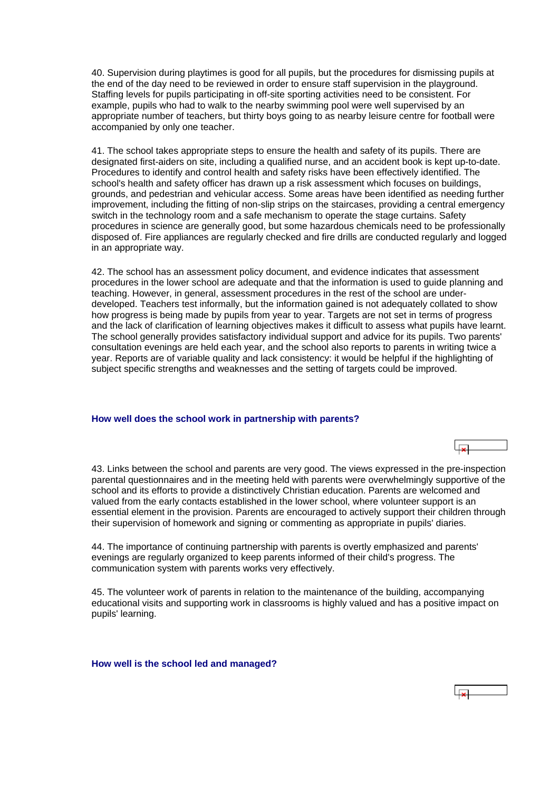<span id="page-10-0"></span>40. Supervision during playtimes is good for all pupils, but the procedures for dismissing pupils at the end of the day need to be reviewed in order to ensure staff supervision in the playground. Staffing levels for pupils participating in off-site sporting activities need to be consistent. For example, pupils who had to walk to the nearby swimming pool were well supervised by an appropriate number of teachers, but thirty boys going to as nearby leisure centre for football were accompanied by only one teacher.

41. The school takes appropriate steps to ensure the health and safety of its pupils. There are designated first-aiders on site, including a qualified nurse, and an accident book is kept up-to-date. Procedures to identify and control health and safety risks have been effectively identified. The school's health and safety officer has drawn up a risk assessment which focuses on buildings, grounds, and pedestrian and vehicular access. Some areas have been identified as needing further improvement, including the fitting of non-slip strips on the staircases, providing a central emergency switch in the technology room and a safe mechanism to operate the stage curtains. Safety procedures in science are generally good, but some hazardous chemicals need to be professionally disposed of. Fire appliances are regularly checked and fire drills are conducted regularly and logged in an appropriate way.

42. The school has an assessment policy document, and evidence indicates that assessment procedures in the lower school are adequate and that the information is used to guide planning and teaching. However, in general, assessment procedures in the rest of the school are underdeveloped. Teachers test informally, but the information gained is not adequately collated to show how progress is being made by pupils from year to year. Targets are not set in terms of progress and the lack of clarification of learning objectives makes it difficult to assess what pupils have learnt. The school generally provides satisfactory individual support and advice for its pupils. Two parents' consultation evenings are held each year, and the school also reports to parents in writing twice a year. Reports are of variable quality and lack consistency: it would be helpful if the highlighting of subject specific strengths and weaknesses and the setting of targets could be improved.

#### **How well does the school work in partnership with parents?**

43. Links between the school and parents are very good. The views expressed in the pre-inspection parental questionnaires and in the meeting held with parents were overwhelmingly supportive of the school and its efforts to provide a distinctively Christian education. Parents are welcomed and valued from the early contacts established in the lower school, where volunteer support is an essential element in the provision. Parents are encouraged to actively support their children through their supervision of homework and signing or commenting as appropriate in pupils' diaries.

 $\overline{u}$ 

44. The importance of continuing partnership with parents is overtly emphasized and parents' evenings are regularly organized to keep parents informed of their child's progress. The communication system with parents works very effectively.

45. The volunteer work of parents in relation to the maintenance of the building, accompanying educational visits and supporting work in classrooms is highly valued and has a positive impact on pupils' learning.

**How well is the school led and managed?**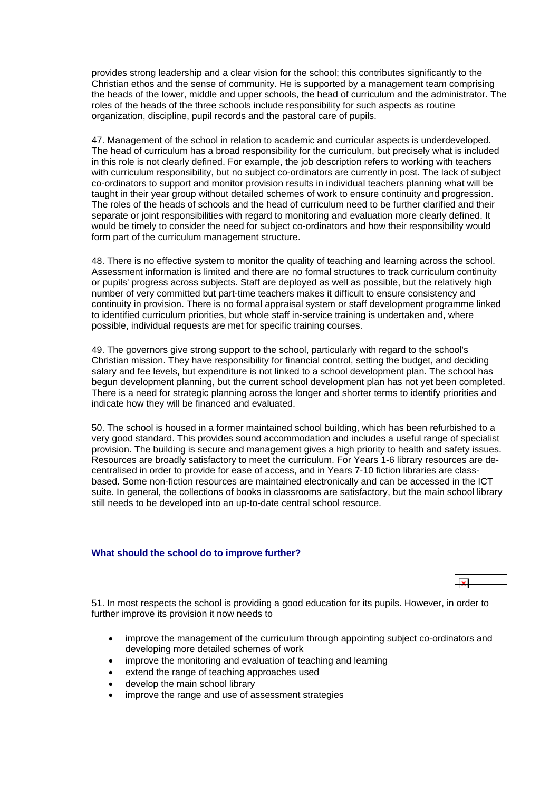<span id="page-11-0"></span>provides strong leadership and a clear vision for the school; this contributes significantly to the Christian ethos and the sense of community. He is supported by a management team comprising the heads of the lower, middle and upper schools, the head of curriculum and the administrator. The roles of the heads of the three schools include responsibility for such aspects as routine organization, discipline, pupil records and the pastoral care of pupils.

47. Management of the school in relation to academic and curricular aspects is underdeveloped. The head of curriculum has a broad responsibility for the curriculum, but precisely what is included in this role is not clearly defined. For example, the job description refers to working with teachers with curriculum responsibility, but no subject co-ordinators are currently in post. The lack of subject co-ordinators to support and monitor provision results in individual teachers planning what will be taught in their year group without detailed schemes of work to ensure continuity and progression. The roles of the heads of schools and the head of curriculum need to be further clarified and their separate or joint responsibilities with regard to monitoring and evaluation more clearly defined. It would be timely to consider the need for subject co-ordinators and how their responsibility would form part of the curriculum management structure.

48. There is no effective system to monitor the quality of teaching and learning across the school. Assessment information is limited and there are no formal structures to track curriculum continuity or pupils' progress across subjects. Staff are deployed as well as possible, but the relatively high number of very committed but part-time teachers makes it difficult to ensure consistency and continuity in provision. There is no formal appraisal system or staff development programme linked to identified curriculum priorities, but whole staff in-service training is undertaken and, where possible, individual requests are met for specific training courses.

49. The governors give strong support to the school, particularly with regard to the school's Christian mission. They have responsibility for financial control, setting the budget, and deciding salary and fee levels, but expenditure is not linked to a school development plan. The school has begun development planning, but the current school development plan has not yet been completed. There is a need for strategic planning across the longer and shorter terms to identify priorities and indicate how they will be financed and evaluated.

50. The school is housed in a former maintained school building, which has been refurbished to a very good standard. This provides sound accommodation and includes a useful range of specialist provision. The building is secure and management gives a high priority to health and safety issues. Resources are broadly satisfactory to meet the curriculum. For Years 1-6 library resources are decentralised in order to provide for ease of access, and in Years 7-10 fiction libraries are classbased. Some non-fiction resources are maintained electronically and can be accessed in the ICT suite. In general, the collections of books in classrooms are satisfactory, but the main school library still needs to be developed into an up-to-date central school resource.

#### **What should the school do to improve further?**



51. In most respects the school is providing a good education for its pupils. However, in order to further improve its provision it now needs to

- improve the management of the curriculum through appointing subject co-ordinators and developing more detailed schemes of work
- improve the monitoring and evaluation of teaching and learning
- extend the range of teaching approaches used
- develop the main school library
- improve the range and use of assessment strategies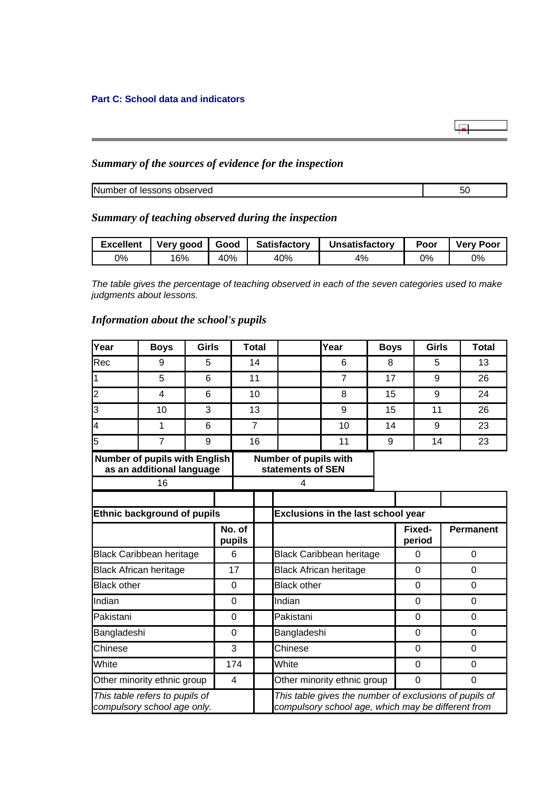# <span id="page-12-0"></span>**Part C: School data and indicators**

# *Summary of the sources of evidence for the inspection*

Number of lessons observed 50

 $\overline{\mathbf{r}}$ 

# *Summary of teaching observed during the inspection*

| <b>Excellent</b> | Verv good     | Good | <b>Satisfactory</b> | <b>Unsatisfactory</b> | Poor | <b>Very Poor</b> |
|------------------|---------------|------|---------------------|-----------------------|------|------------------|
| 0%               | $^{\circ}6\%$ | 40%  | 40%                 | 4%                    | 0%   | 0%               |

*The table gives the percentage of teaching observed in each of the seven categories used to make judgments about lessons.*

## *Information about the school's pupils*

| Year                                                                            | <b>Boys</b>                                                      |   | <b>Girls</b>     |                             | <b>Total</b>   |                                                                                                              | Year           | <b>Boys</b> |                  | <b>Girls</b>   |                  | <b>Total</b>   |
|---------------------------------------------------------------------------------|------------------------------------------------------------------|---|------------------|-----------------------------|----------------|--------------------------------------------------------------------------------------------------------------|----------------|-------------|------------------|----------------|------------------|----------------|
| Rec                                                                             | 9                                                                | 5 |                  | 14                          |                |                                                                                                              | 6              | 8           |                  |                |                  | 13             |
| 1                                                                               | 5                                                                | 6 |                  | 11                          |                |                                                                                                              | $\overline{7}$ |             | 17               |                |                  | 26             |
| $\overline{c}$                                                                  | 4                                                                | 6 |                  |                             | 10             |                                                                                                              | 8              | 15          |                  | 9              |                  | 24             |
| 3                                                                               | 10                                                               | 3 |                  |                             | 13             |                                                                                                              | 9              | 15          |                  | 11             |                  | 26             |
| $\overline{4}$                                                                  | 1                                                                | 6 |                  |                             | $\overline{7}$ |                                                                                                              | 10             | 14          |                  | 9              |                  | 23             |
| $\overline{5}$                                                                  | $\overline{7}$                                                   | 9 |                  |                             | 16             |                                                                                                              | 11             | 9           |                  | 14             |                  | 23             |
|                                                                                 | Number of pupils with English<br>as an additional language<br>16 |   |                  |                             |                | Number of pupils with<br>statements of SEN<br>4                                                              |                |             |                  |                |                  |                |
|                                                                                 |                                                                  |   |                  |                             |                |                                                                                                              |                |             |                  |                |                  |                |
| <b>Ethnic background of pupils</b><br><b>Exclusions in the last school year</b> |                                                                  |   |                  |                             |                |                                                                                                              |                |             |                  |                |                  |                |
|                                                                                 |                                                                  |   | No. of<br>pupils |                             |                |                                                                                                              |                |             | Fixed-<br>period |                | <b>Permanent</b> |                |
|                                                                                 | <b>Black Caribbean heritage</b>                                  |   |                  | 6                           |                | <b>Black Caribbean heritage</b>                                                                              |                |             |                  | $\mathbf 0$    |                  | $\mathbf 0$    |
|                                                                                 | <b>Black African heritage</b>                                    |   |                  | 17                          |                | <b>Black African heritage</b>                                                                                |                |             |                  | $\Omega$       |                  | 0              |
| <b>Black other</b>                                                              |                                                                  |   |                  | 0                           |                | <b>Black other</b>                                                                                           |                |             |                  | 0              |                  | 0              |
| Indian                                                                          |                                                                  |   |                  | 0                           |                | Indian                                                                                                       |                |             |                  | $\Omega$       | $\mathbf 0$      |                |
| Pakistani                                                                       |                                                                  |   |                  | 0                           |                | Pakistani                                                                                                    |                |             |                  | $\Omega$       |                  | $\Omega$       |
| Bangladeshi                                                                     |                                                                  |   |                  | 0                           |                | Bangladeshi                                                                                                  |                |             |                  | $\overline{0}$ |                  | $\overline{0}$ |
| Chinese<br>3                                                                    |                                                                  |   | Chinese          |                             |                |                                                                                                              | $\Omega$       |             | $\Omega$         |                |                  |                |
| White<br>174                                                                    |                                                                  |   |                  | White                       |                |                                                                                                              |                | $\Omega$    |                  | 0              |                  |                |
| Other minority ethnic group<br>4                                                |                                                                  |   |                  | Other minority ethnic group |                |                                                                                                              |                | $\mathbf 0$ |                  | $\mathbf 0$    |                  |                |
|                                                                                 | This table refers to pupils of<br>compulsory school age only.    |   |                  |                             |                | This table gives the number of exclusions of pupils of<br>compulsory school age, which may be different from |                |             |                  |                |                  |                |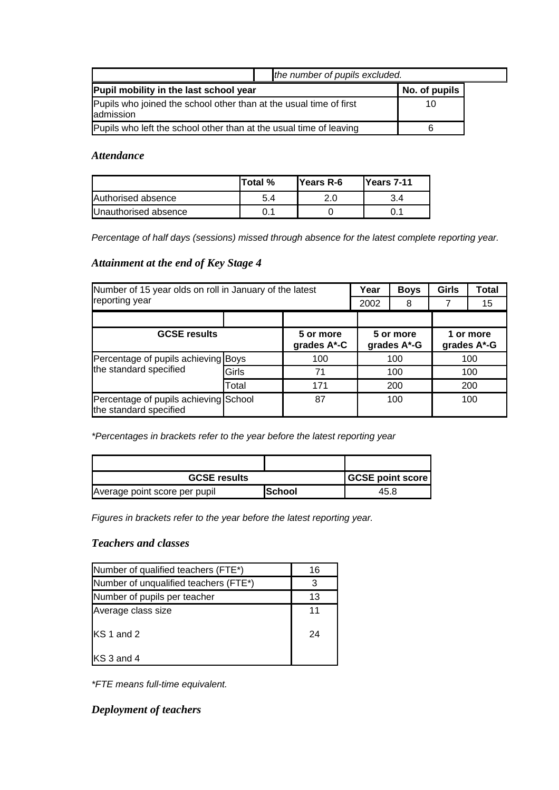|                                                                                 |    | the number of pupils excluded. |  |  |
|---------------------------------------------------------------------------------|----|--------------------------------|--|--|
| Pupil mobility in the last school year                                          |    | No. of pupils                  |  |  |
| Pupils who joined the school other than at the usual time of first<br>admission | 10 |                                |  |  |
| Pupils who left the school other than at the usual time of leaving              |    |                                |  |  |

# *Attendance*

|                      | lTotal % | lYears R-6 | Years 7-11 |
|----------------------|----------|------------|------------|
| Authorised absence   | 5.4      |            |            |
| Unauthorised absence |          |            |            |

*Percentage of half days (sessions) missed through absence for the latest complete reporting year.*

# *Attainment at the end of Key Stage 4*

| Number of 15 year olds on roll in January of the latest         |       |                          | Year | <b>Boys</b>              | Girls | <b>Total</b>             |  |
|-----------------------------------------------------------------|-------|--------------------------|------|--------------------------|-------|--------------------------|--|
| reporting year                                                  |       |                          | 2002 | 8                        |       | 15                       |  |
|                                                                 |       |                          |      |                          |       |                          |  |
| <b>GCSE results</b>                                             |       | 5 or more<br>grades A*-C |      | 5 or more<br>grades A*-G |       | 1 or more<br>grades A*-G |  |
| Percentage of pupils achieving Boys<br>the standard specified   |       | 100                      |      | 100                      | 100   |                          |  |
|                                                                 | Girls | 71                       |      | 100                      | 100   |                          |  |
|                                                                 | Total | 171                      |      | 200                      | 200   |                          |  |
| Percentage of pupils achieving School<br>the standard specified |       | 87                       |      | 100                      |       | 100                      |  |

*\*Percentages in brackets refer to the year before the latest reporting year*

| <b>GCSE results</b>           | <b>GCSE point score</b> |      |
|-------------------------------|-------------------------|------|
| Average point score per pupil | ISchool                 | 45.8 |

*Figures in brackets refer to the year before the latest reporting year.*

# *Teachers and classes*

| Number of qualified teachers (FTE*)   | 16 |
|---------------------------------------|----|
| Number of unqualified teachers (FTE*) | 3  |
| Number of pupils per teacher          | 13 |
| Average class size                    | 11 |
| IKS 1 and 2                           | 24 |
| KS 3 and 4                            |    |

*\*FTE means full-time equivalent.*

*Deployment of teachers*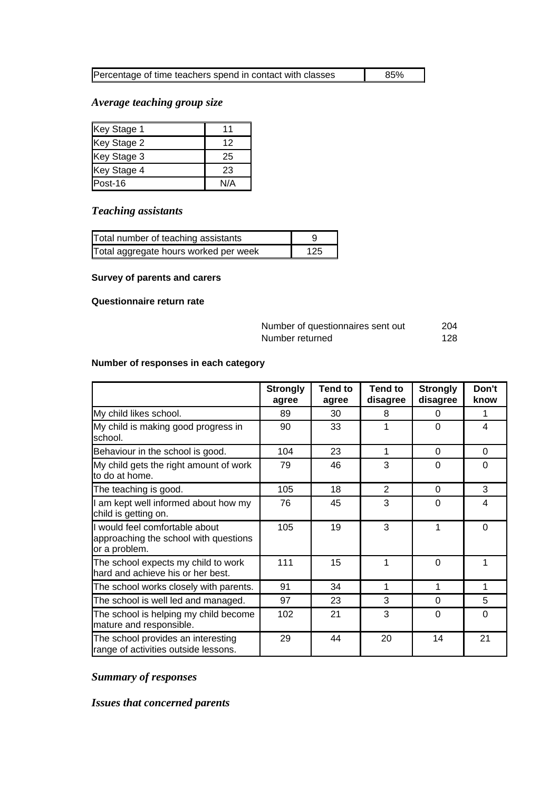| Percentage of time teachers spend in contact with classes | 85% |
|-----------------------------------------------------------|-----|
|                                                           |     |

# *Average teaching group size*

| Key Stage 1 | 11  |
|-------------|-----|
| Key Stage 2 | 12  |
| Key Stage 3 | 25  |
| Key Stage 4 | 23  |
| Post-16     | N/A |

# *Teaching assistants*

| Total number of teaching assistants   |     |
|---------------------------------------|-----|
| Total aggregate hours worked per week | 125 |

# **Survey of parents and carers**

## **Questionnaire return rate**

| Number of questionnaires sent out | 204  |
|-----------------------------------|------|
| Number returned                   | -128 |

# **Number of responses in each category**

|                                                                                          | <b>Strongly</b><br>agree | <b>Tend to</b><br>agree | <b>Tend to</b><br>disagree | <b>Strongly</b><br>disagree | Don't<br>know |
|------------------------------------------------------------------------------------------|--------------------------|-------------------------|----------------------------|-----------------------------|---------------|
| My child likes school.                                                                   | 89                       | 30                      | 8                          | $\Omega$                    | 1             |
| My child is making good progress in<br>school.                                           | 90                       | 33                      | 1                          | $\Omega$                    | 4             |
| Behaviour in the school is good.                                                         | 104                      | 23                      | 1                          | $\Omega$                    | $\Omega$      |
| My child gets the right amount of work<br>to do at home.                                 | 79                       | 46                      | 3                          | $\Omega$                    | $\Omega$      |
| The teaching is good.                                                                    | 105                      | 18                      | 2                          | $\Omega$                    | 3             |
| I am kept well informed about how my<br>child is getting on.                             | 76                       | 45                      | 3                          | $\Omega$                    | 4             |
| I would feel comfortable about<br>approaching the school with questions<br>or a problem. | 105                      | 19                      | 3                          | 1                           | $\Omega$      |
| The school expects my child to work<br>hard and achieve his or her best.                 | 111                      | 15                      | 1                          | $\Omega$                    | 1             |
| The school works closely with parents.                                                   | 91                       | 34                      | 1                          | 1                           | 1             |
| The school is well led and managed.                                                      | 97                       | 23                      | 3                          | 0                           | 5             |
| The school is helping my child become<br>mature and responsible.                         | 102                      | 21                      | 3                          | $\Omega$                    | $\Omega$      |
| The school provides an interesting<br>range of activities outside lessons.               | 29                       | 44                      | 20                         | 14                          | 21            |

# *Summary of responses*

# *Issues that concerned parents*